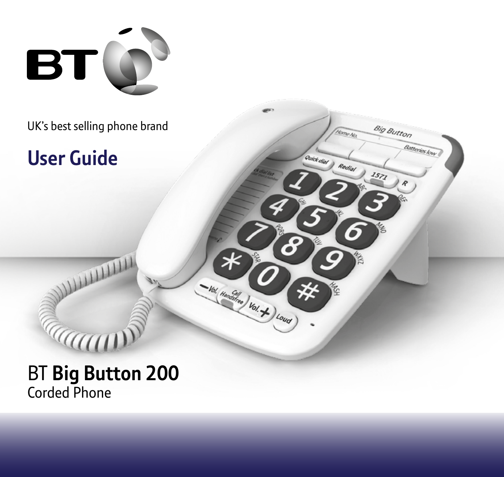

UK's best selling phone brand

**Big Button** 

 $1571$ 

Batteries low

Yome Na

Quick dial Redial

- Val. Handara) Val. + ) Louis

## **User Guide**

## BT **Big Button 200** Corded Phone

**Caum** 

**WILLIAM**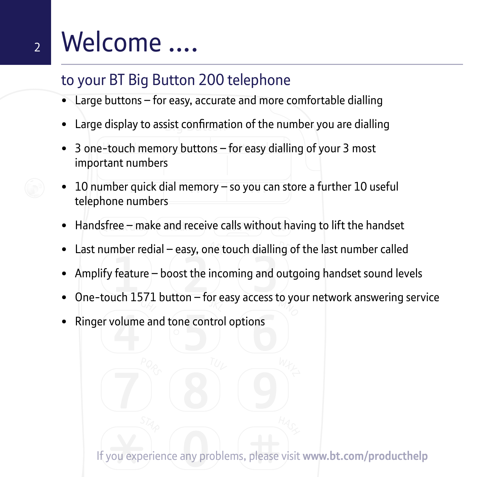## <sup>2</sup> Welcome ….

## to your BT Big Button 200 telephone

- Large buttons for easy, accurate and more comfortable dialling
- Large display to assist confirmation of the number you are dialling
- 3 one-touch memory buttons for easy dialling of your 3 most important numbers
- 10 number quick dial memory so you can store a further 10 useful telephone numbers
- Handsfree make and receive calls without having to lift the handset
- Last number redial easy, one touch dialling of the last number called
- Amplify feature boost the incoming and outgoing handset sound levels
- One-touch 1571 button for easy access to your network answering service
- Ringer volume and tone control options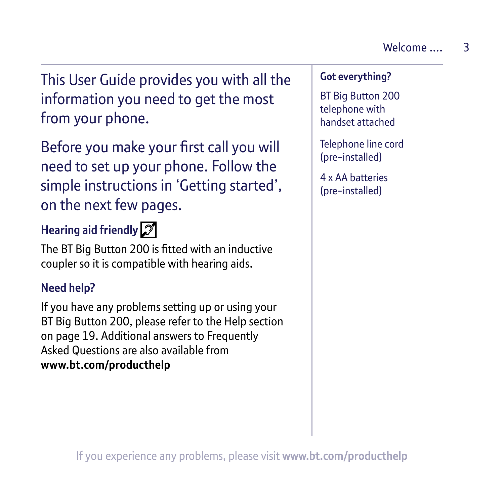This User Guide provides you with all the information you need to get the most from your phone.

Before you make your first call you will need to set up your phone. Follow the simple instructions in 'Getting started', on the next few pages.

## **Hearing aid friendly**

The BT Big Button 200 is fitted with an inductive coupler so it is compatible with hearing aids.

#### **Need help?**

If you have any problems setting up or using your BT Big Button 200, please refer to the Help section on page 19. Additional answers to Frequently Asked Questions are also available from **www.bt.com/producthelp**

#### **Got everything?**

BT Big Button 200 telephone with handset attached

Telephone line cord (pre-installed)

4 x AA batteries (pre-installed)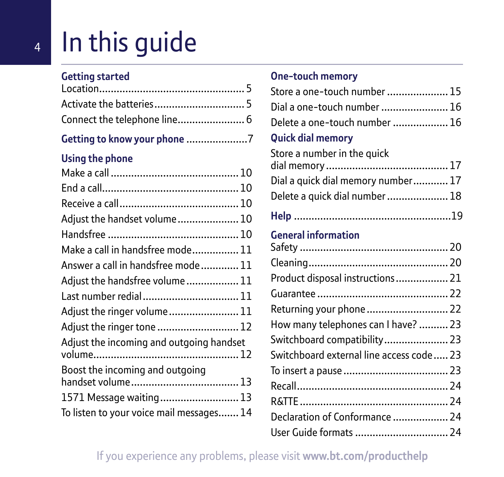# In this guide

#### **Getting started**

#### **Getting to know your phone** .....................7

#### **Using the phone**

| Adjust the handset volume 10             |
|------------------------------------------|
|                                          |
| Make a call in handsfree mode 11         |
| Answer a call in handsfree mode 11       |
| Adjust the handsfree volume 11           |
| Last number redial 11                    |
| Adjust the ringer volume 11              |
| Adjust the ringer tone  12               |
| Adjust the incoming and outgoing handset |
| Boost the incoming and outgoing          |
|                                          |
| 1571 Message waiting 13                  |
| To listen to your voice mail messages 14 |

#### **One-touch memory**

| Store a one-touch number  15              |  |
|-------------------------------------------|--|
| Dial a one-touch number  16               |  |
| Delete a one-touch number  16             |  |
| <b>Quick dial memory</b>                  |  |
| Store a number in the quick               |  |
|                                           |  |
| Dial a quick dial memory number 17        |  |
| Delete a quick dial number  18            |  |
|                                           |  |
| <b>General information</b>                |  |
|                                           |  |
|                                           |  |
| Product disposal instructions  21         |  |
|                                           |  |
| Returning your phone  22                  |  |
| How many telephones can I have?  23       |  |
| Switchboard compatibility 23              |  |
| Switchboard external line access code  23 |  |
|                                           |  |
|                                           |  |
|                                           |  |
| Declaration of Conformance  24            |  |
| User Guide formats  24                    |  |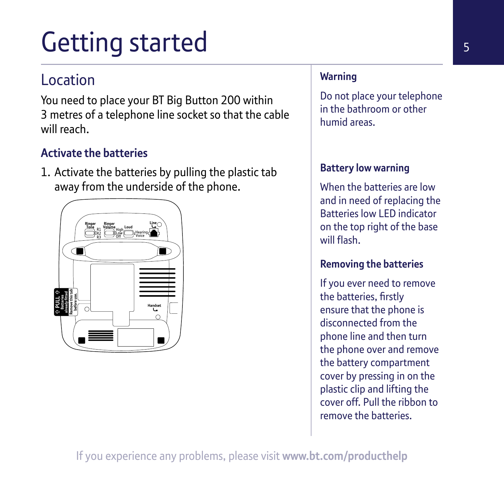# Getting started

## Location

You need to place your BT Big Button 200 within 3 metres of a telephone line socket so that the cable will reach.

### **Activate the batteries**

1. Activate the batteries by pulling the plastic tab away from the underside of the phone.



#### **Warning**

Do not place your telephone in the bathroom or other humid areas.

#### **Battery low warning**

When the batteries are low and in need of replacing the Batteries low LED indicator on the top right of the base will flash.

#### **Removing the batteries**

If you ever need to remove the batteries, firstly ensure that the phone is disconnected from the phone line and then turn the phone over and remove the battery compartment cover by pressing in on the plastic clip and lifting the cover off. Pull the ribbon to remove the batteries.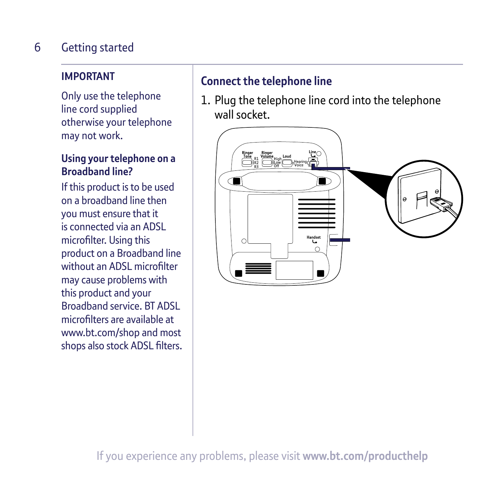#### Getting started 6

#### **IMPORTANT**

Only use the telephone line cord supplied otherwise your telephone may not work.

#### **Using your telephone on a Broadband line?**

If this product is to be used on a broadband line then you must ensure that it is connected via an ADSL microfilter. Using this product on a Broadband line without an ADSL microfilter may cause problems with this product and your Broadband service. BT ADSL microfilters are available at www.bt.com/shop and most shops also stock ADSL filters.

#### **Connect the telephone line**

1. Plug the telephone line cord into the telephone wall socket.

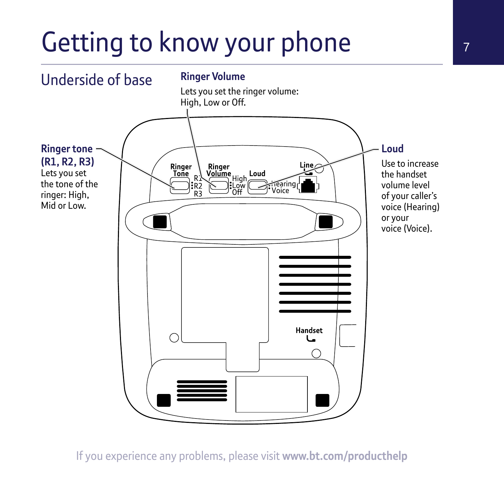# Getting to know your phone

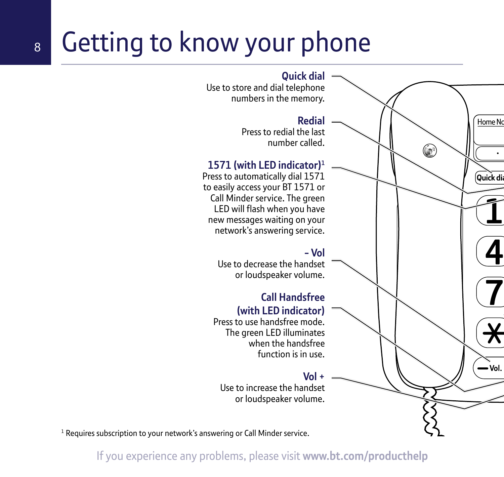## 8 Getting to know your phone



<sup>1</sup> Requires subscription to your network's answering or Call Minder service.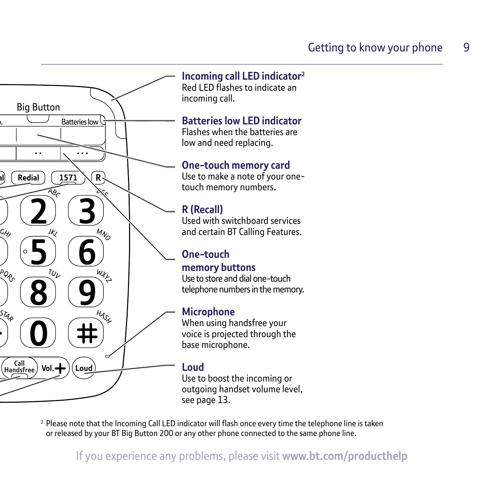

<sup>2</sup> Please note that the Incoming Call LED indicator will flash once every time the telephone line is taken or released by your BT Big Button 200 or any other phone connected to the same phone line.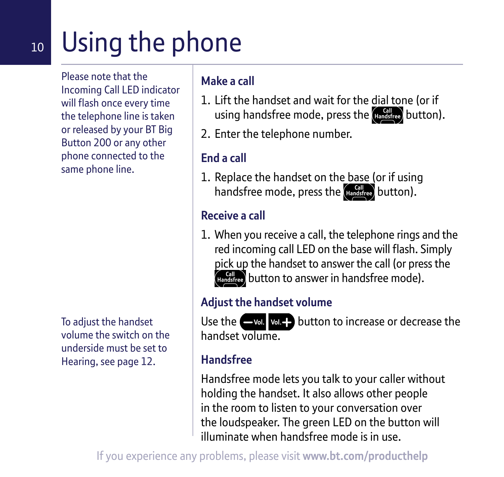## 10 Using the phone

Please note that the Incoming Call LED indicator will flash once every time the telephone line is taken or released by your BT Big Button 200 or any other phone connected to the same phone line.

To adjust the handset volume the switch on the underside must be set to Hearing, see page 12.

#### **Make a call**

- 1. Lift the handset and wait for the dial tone (or if using handsfree mode, press the dandsfree button).
- 2. Enter the telephone number.

## **End a call**

1. Replace the handset on the base (or if using handsfree mode, press the  $\frac{Gall}{H}$  button).

## **Receive a call**

1. When you receive a call, the telephone rings and the red incoming call LED on the base will flash. Simply pick up the handset to answer the call (or press the **(Handsfree)** button to answer in handsfree mode).

#### **Adjust the handset volume**

Use the  $\Box$  valed button to increase or decrease the handset volume.

### **Handsfree**

Handsfree mode lets you talk to your caller without holding the handset. It also allows other people in the room to listen to your conversation over the loudspeaker. The green LED on the button will illuminate when handsfree mode is in use.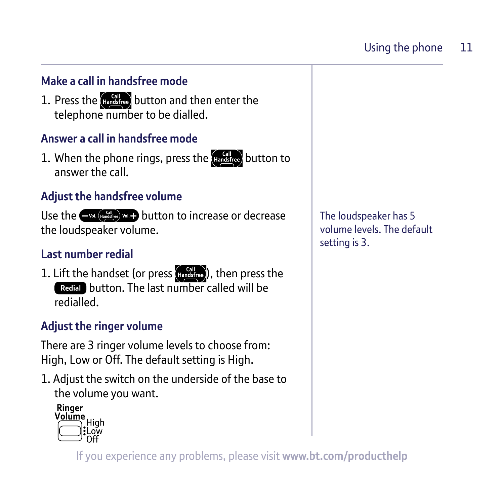#### **Make a call in handsfree mode**

1. Press the  $\left(\begin{smallmatrix} \text{Gal} \\ \text{Handstree} \end{smallmatrix}\right)$  button and then enter the telephone number to be dialled.

#### **Answer a call in handsfree mode**

1. When the phone rings, press the  $\left(\text{Higgs}\right)$  button to answer the call.

#### **Adjust the handsfree volume**

Use the  $\leftarrow$  val. (Handafree) val.  $\rightarrow$  button to increase or decrease the loudspeaker volume.

#### **Last number redial**

1. Lift the handset (or press  $(H_{\text{andstree}})$ ), then press the **Redial** button. The last number called will be redialled.

#### **Adjust the ringer volume**

There are 3 ringer volume levels to choose from: High, Low or Off. The default setting is High.

1. Adjust the switch on the underside of the base to the volume you want.

Ringer **Kinger<br>Volume**<br>Collegin

The loudspeaker has 5 volume levels. The default setting is 3.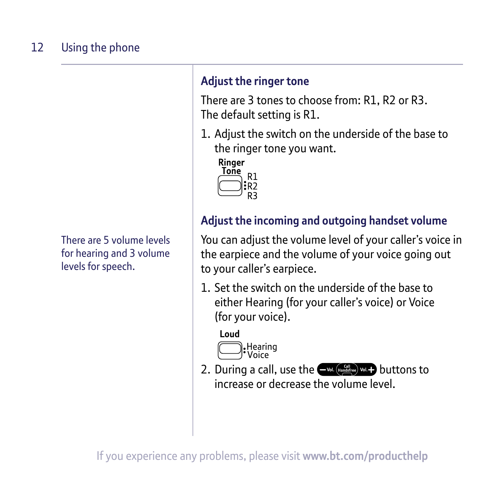There are 5 volume levels for hearing and 3 volume levels for speech.

### **Adjust the ringer tone**

There are 3 tones to choose from: R1, R2 or R3. The default setting is R1.

1. Adjust the switch on the underside of the base to the ringer tone you want.



## **Adjust the incoming and outgoing handset volume**

You can adjust the volume level of your caller's voice in the earpiece and the volume of your voice going out to your caller's earpiece.

1. Set the switch on the underside of the base to either Hearing (for your caller's voice) or Voice (for your voice).

#### Loud



2. During a call, use the  $\bigoplus_{\text{val}, \text{indirect}} \text{val}$  buttons to increase or decrease the volume level.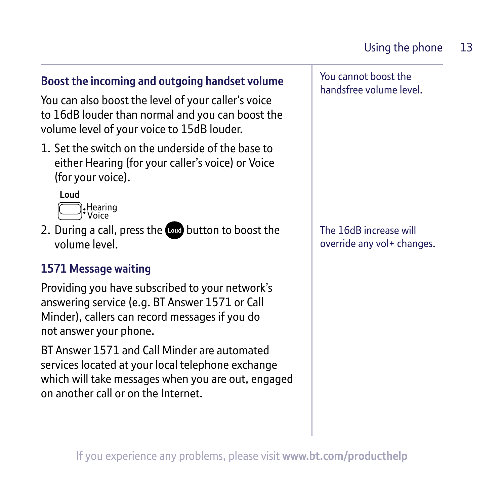#### **Boost the incoming and outgoing handset volume**

You can also boost the level of your caller's voice to 16dB louder than normal and you can boost the volume level of your voice to 15dB louder.

1. Set the switch on the underside of the base to either Hearing (for your caller's voice) or Voice (for your voice).

Loud



2. During a call, press the button to boost the volume level.

#### **1571 Message waiting**

Providing you have subscribed to your network's answering service (e.g. BT Answer 1571 or Call Minder), callers can record messages if you do not answer your phone.

BT Answer 1571 and Call Minder are automated services located at your local telephone exchange which will take messages when you are out, engaged on another call or on the Internet.

You cannot boost the handsfree volume level.

The 16dB increase will override any vol+ changes.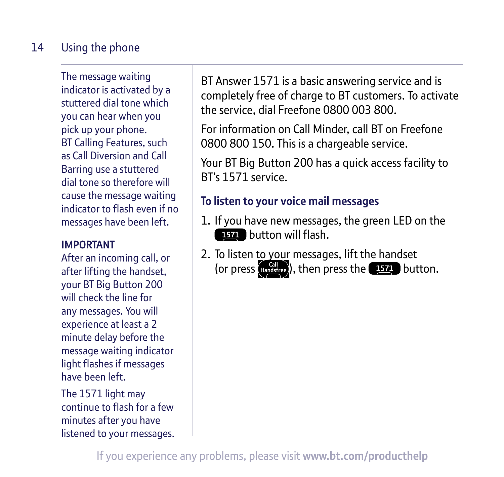#### Using the phone 14

The message waiting indicator is activated by a stuttered dial tone which you can hear when you pick up your phone. BT Calling Features, such as Call Diversion and Call Barring use a stuttered dial tone so therefore will cause the message waiting indicator to flash even if no messages have been left.

#### **IMPORTANT**

After an incoming call, or after lifting the handset, your BT Big Button 200 will check the line for any messages. You will experience at least a 2 minute delay before the message waiting indicator light flashes if messages have been left.

The 1571 light may continue to flash for a few minutes after you have listened to your messages.

BT Answer 1571 is a basic answering service and is completely free of charge to BT customers. To activate the service, dial Freefone 0800 003 800.

For information on Call Minder, call BT on Freefone 0800 800 150. This is a chargeable service.

Your BT Big Button 200 has a quick access facility to BT's 1571 service.

#### **To listen to your voice mail messages**

- 1. If you have new messages, the green LED on the **BZ** button will flash.
- 2. To listen to your messages, lift the handset (or press (Handsfree), then press the **1571** button.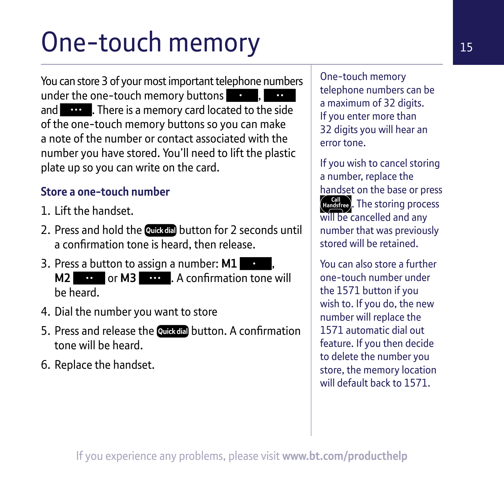# One-touch memory

You can store 3 of your most important telephone numbers under the one-touch memory buttons and **the disk of the reader** . There is a memory card located to the side of the one-touch memory buttons so you can make a note of the number or contact associated with the number you have stored. You'll need to lift the plastic plate up so you can write on the card.

#### **Store a one-touch number**

- 1. Lift the handset.
- 2. Press and hold the **Quick dial** button for 2 seconds until a confirmation tone is heard, then release.
- 3. Press a button to assign a number: **M1** , **M2** or **M3 or** . A confirmation tone will be heard.
- 4. Dial the number you want to store
- 5. Press and release the **Quickdal** button. A confirmation tone will be heard.
- 6. Replace the handset.

One-touch memory telephone numbers can be a maximum of 32 digits. If you enter more than 32 digits you will hear an error tone.

If you wish to cancel storing a number, replace the handset on the base or press **(Handsfree)**. The storing process will be cancelled and any number that was previously stored will be retained.

You can also store a further one-touch number under the 1571 button if you wish to. If you do, the new number will replace the 1571 automatic dial out feature. If you then decide to delete the number you store, the memory location will default back to 1571.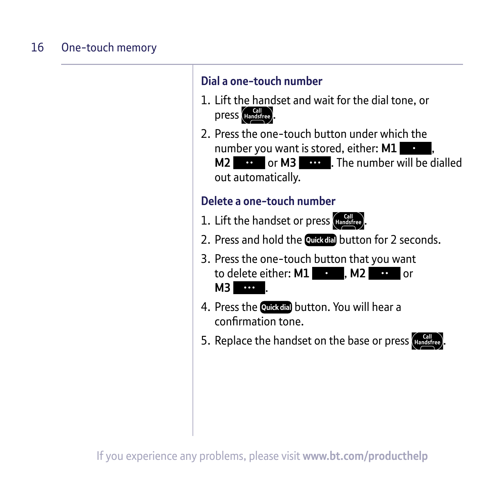#### One-touch memory 16

#### **Dial a one-touch number**

- 1. Lift the handset and wait for the dial tone, or press (Handsfree).
- 2. Press the one-touch button under which the number you want is stored, either: **M1 M2 or M3 or** *C M3 C C C C C C C C C C C C C C C C C <i>C C C C C C C C C C C C C C</del> <i>C* out automatically.

#### **Delete a one-touch number**

- 1. Lift the handset or press  $\frac{Gal}{Handsfree}$
- 2. Press and hold the **Quickdia** button for 2 seconds.
- 3. Press the one-touch button that you want to delete either: **M1 or M2 or** or **M3** .
- 4. Press the **Quick dial button.** You will hear a confirmation tone.
- 5. Replace the handset on the base or press (Handsfree)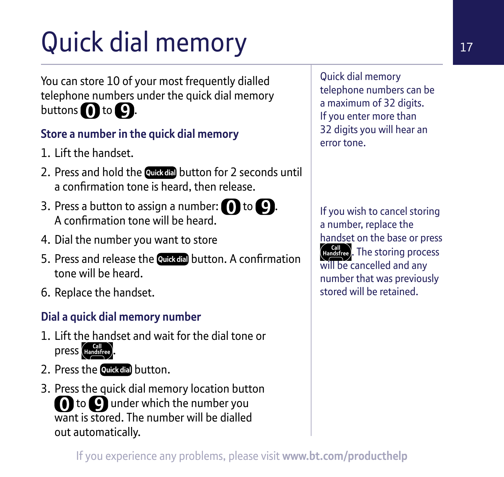# Quick dial memory

You can store 10 of your most frequently dialled telephone numbers under the quick dial memory buttons  $\bigcap$  to  $\bigcap$ .

### **Store a number in the quick dial memory**

- 1. Lift the handset.
- 2. Press and hold the Quickdial button for 2 seconds until a confirmation tone is heard, then release.
- 3. Press a button to assign a number:  $\bigcap$  to  $\bigcap$ . A confirmation tone will be heard.
- 4. Dial the number you want to store
- 5. Press and release the **Quickcial** button. A confirmation tone will be heard.
- 6. Replace the handset.

### **Dial a quick dial memory number**

- 1. Lift the handset and wait for the dial tone or press Handsfree
- 2. Press the **Quick dial button.**
- 3. Press the quick dial memory location button **O** to **Q** under which the number you want is stored. The number will be dialled out automatically.

Quick dial memory telephone numbers can be a maximum of 32 digits. If you enter more than 32 digits you will hear an error tone.

If you wish to cancel storing a number, replace the handset on the base or press Gall external process will be cancelled and any number that was previously stored will be retained.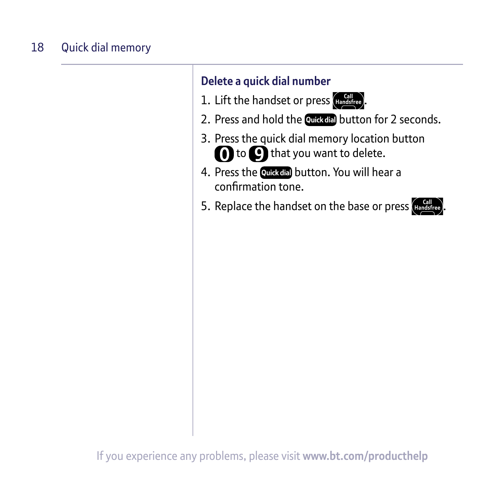#### Quick dial memory 18

### **Delete a quick dial number**

- 1. Lift the handset or press  $\frac{Gal}{Handsfree}$ .
- 2. Press and hold the Quickdial button for 2 seconds.
- 3. Press the quick dial memory location button **n** to **o** that you want to delete.
- 4. Press the Quick dial button. You will hear a confirmation tone.
- 5. Replace the handset on the base or press (Handsfr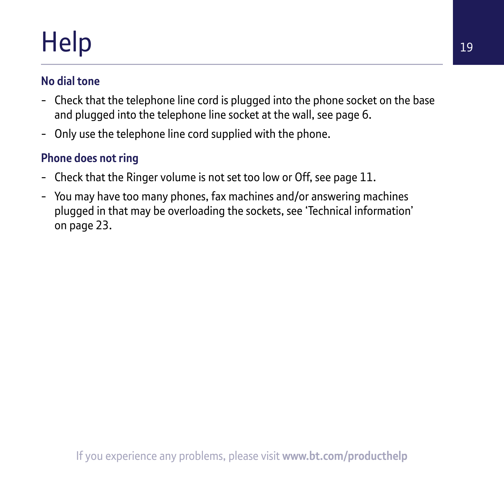# Help

#### **No dial tone**

- Check that the telephone line cord is plugged into the phone socket on the base and plugged into the telephone line socket at the wall, see page 6.
- Only use the telephone line cord supplied with the phone.

## **Phone does not ring**

- Check that the Ringer volume is not set too low or Off, see page 11.
- You may have too many phones, fax machines and/or answering machines plugged in that may be overloading the sockets, see 'Technical information' on page 23.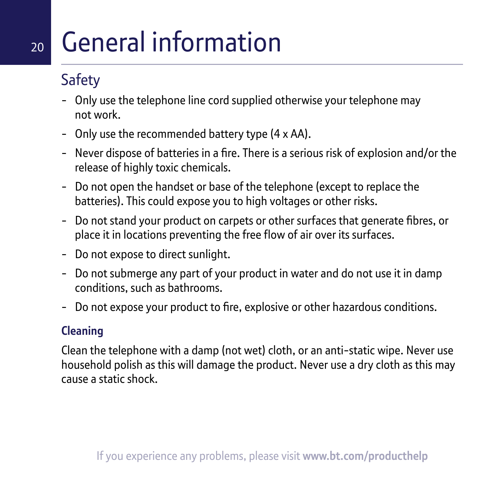## 20 General information

## Safety

- Only use the telephone line cord supplied otherwise your telephone may not work.
- Only use the recommended battery type (4 x AA).
- Never dispose of batteries in a fire. There is a serious risk of explosion and/or the release of highly toxic chemicals.
- Do not open the handset or base of the telephone (except to replace the batteries). This could expose you to high voltages or other risks.
- Do not stand your product on carpets or other surfaces that generate fibres, or place it in locations preventing the free flow of air over its surfaces.
- Do not expose to direct sunlight.
- Do not submerge any part of your product in water and do not use it in damp conditions, such as bathrooms.
- Do not expose your product to fire, explosive or other hazardous conditions.

### **Cleaning**

Clean the telephone with a damp (not wet) cloth, or an anti-static wipe. Never use household polish as this will damage the product. Never use a dry cloth as this may cause a static shock.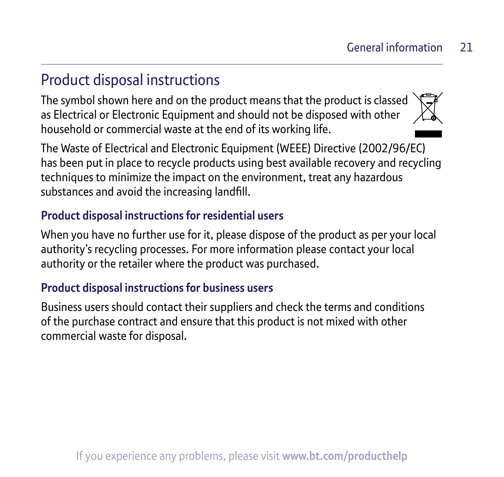## Product disposal instructions

The symbol shown here and on the product means that the product is classed as Electrical or Electronic Equipment and should not be disposed with other household or commercial waste at the end of its working life.



The Waste of Electrical and Electronic Equipment (WEEE) Directive (2002/96/EC) has been put in place to recycle products using best available recovery and recycling techniques to minimize the impact on the environment, treat any hazardous substances and avoid the increasing landfill.

#### **Product disposal instructions for residential users**

When you have no further use for it, please dispose of the product as per your local authority's recycling processes. For more information please contact your local authority or the retailer where the product was purchased.

#### **Product disposal instructions for business users**

Business users should contact their suppliers and check the terms and conditions of the purchase contract and ensure that this product is not mixed with other commercial waste for disposal.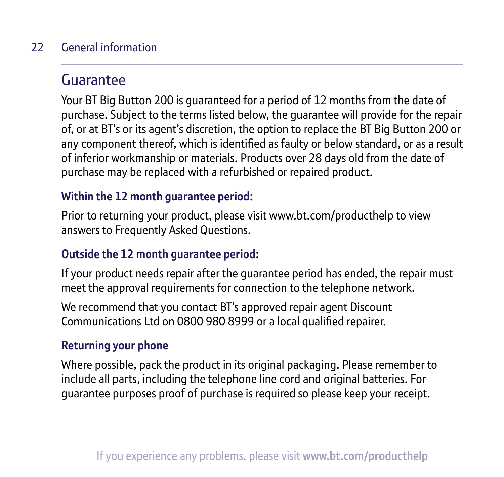#### General information  $22$

## Guarantee

Your BT Big Button 200 is guaranteed for a period of 12 months from the date of purchase. Subject to the terms listed below, the guarantee will provide for the repair of, or at BT's or its agent's discretion, the option to replace the BT Big Button 200 or any component thereof, which is identified as faulty or below standard, or as a result of inferior workmanship or materials. Products over 28 days old from the date of purchase may be replaced with a refurbished or repaired product.

#### **Within the 12 month guarantee period:**

Prior to returning your product, please visit www.bt.com/producthelp to view answers to Frequently Asked Questions.

#### **Outside the 12 month guarantee period:**

If your product needs repair after the guarantee period has ended, the repair must meet the approval requirements for connection to the telephone network.

We recommend that you contact BT's approved repair agent Discount Communications Ltd on 0800 980 8999 or a local qualified repairer.

#### **Returning your phone**

Where possible, pack the product in its original packaging. Please remember to include all parts, including the telephone line cord and original batteries. For guarantee purposes proof of purchase is required so please keep your receipt.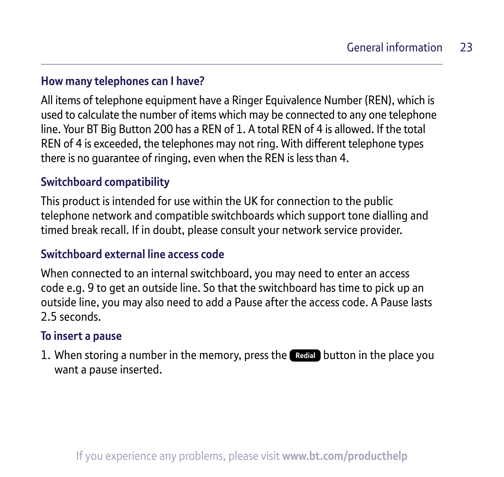#### **How many telephones can I have?**

All items of telephone equipment have a Ringer Equivalence Number (REN), which is used to calculate the number of items which may be connected to any one telephone line. Your BT Big Button 200 has a REN of 1. A total REN of 4 is allowed. If the total REN of 4 is exceeded, the telephones may not ring. With different telephone types there is no guarantee of ringing, even when the REN is less than 4.

#### **Switchboard compatibility**

This product is intended for use within the UK for connection to the public telephone network and compatible switchboards which support tone dialling and timed break recall. If in doubt, please consult your network service provider.

#### **Switchboard external line access code**

When connected to an internal switchboard, you may need to enter an access code e.g. 9 to get an outside line. So that the switchboard has time to pick up an outside line, you may also need to add a Pause after the access code. A Pause lasts 2.5 seconds.

#### **To insert a pause**

1. When storing a number in the memory, press the **Redia** button in the place you want a pause inserted.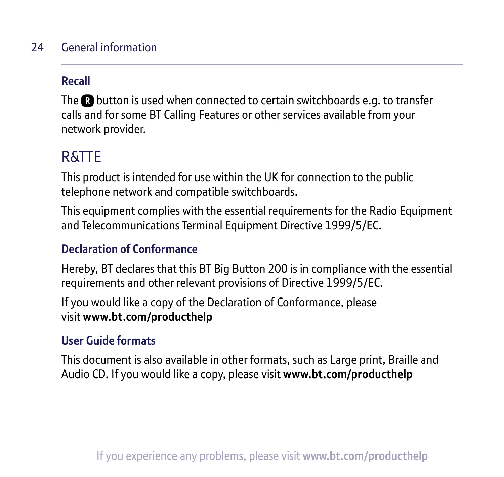#### General information 24

#### **Recall**

The  $\Omega$  button is used when connected to certain switchboards e.g. to transfer calls and for some BT Calling Features or other services available from your network provider.

## R&TTE

This product is intended for use within the UK for connection to the public telephone network and compatible switchboards.

This equipment complies with the essential requirements for the Radio Equipment and Telecommunications Terminal Equipment Directive 1999/5/EC.

#### **Declaration of Conformance**

Hereby, BT declares that this BT Big Button 200 is in compliance with the essential requirements and other relevant provisions of Directive 1999/5/EC.

If you would like a copy of the Declaration of Conformance, please visit **www.bt.com/producthelp**

#### **User Guide formats**

This document is also available in other formats, such as Large print, Braille and Audio CD. If you would like a copy, please visit **www.bt.com/producthelp**